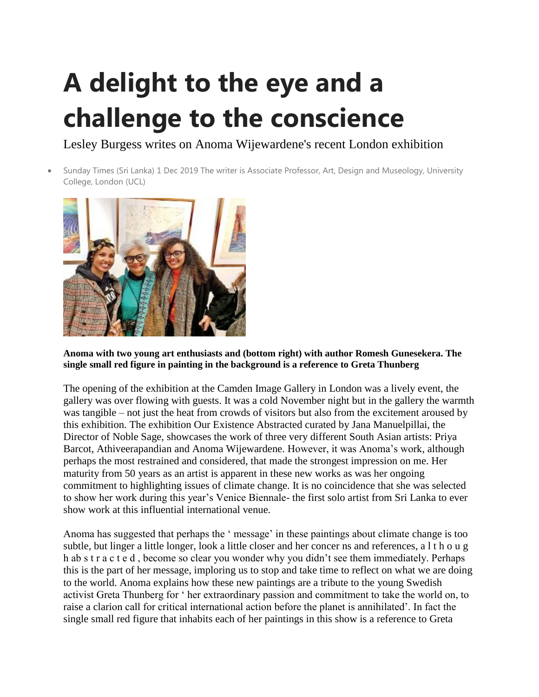## **A delight to the eye and a challenge to the conscience**

Lesley Burgess writes on Anoma Wijewardene's recent London exhibition

 Sunday Times (Sri Lanka) 1 Dec 2019 The writer is Associate Professor, Art, Design and Museology, University College, London (UCL)



**Anoma with two young art enthusiasts and (bottom right) with author Romesh Gunesekera. The single small red figure in painting in the background is a reference to Greta Thunberg**

The opening of the exhibition at the Camden Image Gallery in London was a lively event, the gallery was over flowing with guests. It was a cold November night but in the gallery the warmth was tangible – not just the heat from crowds of visitors but also from the excitement aroused by this exhibition. The exhibition Our Existence Abstracted curated by Jana Manuelpillai, the Director of Noble Sage, showcases the work of three very different South Asian artists: Priya Barcot, Athiveerapandian and Anoma Wijewardene. However, it was Anoma's work, although perhaps the most restrained and considered, that made the strongest impression on me. Her maturity from 50 years as an artist is apparent in these new works as was her ongoing commitment to highlighting issues of climate change. It is no coincidence that she was selected to show her work during this year's Venice Biennale- the first solo artist from Sri Lanka to ever show work at this influential international venue.

Anoma has suggested that perhaps the ' message' in these paintings about climate change is too subtle, but linger a little longer, look a little closer and her concer ns and references, a l t h o u g h ab s t r a c t e d , become so clear you wonder why you didn't see them immediately. Perhaps this is the part of her message, imploring us to stop and take time to reflect on what we are doing to the world. Anoma explains how these new paintings are a tribute to the young Swedish activist Greta Thunberg for ' her extraordinary passion and commitment to take the world on, to raise a clarion call for critical international action before the planet is annihilated'. In fact the single small red figure that inhabits each of her paintings in this show is a reference to Greta